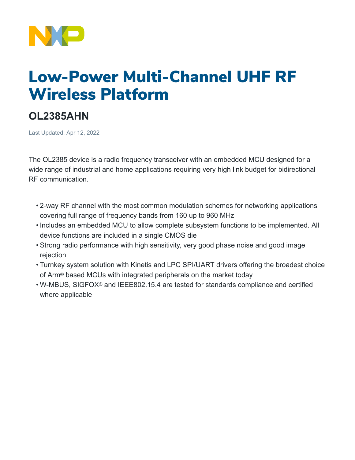

# Low-Power Multi-Channel UHF RF Wireless Platform

# **OL2385AHN**

Last Updated: Apr 12, 2022

The OL2385 device is a radio frequency transceiver with an embedded MCU designed for a wide range of industrial and home applications requiring very high link budget for bidirectional RF communication.

- 2-way RF channel with the most common modulation schemes for networking applications covering full range of frequency bands from 160 up to 960 MHz
- Includes an embedded MCU to allow complete subsystem functions to be implemented. All device functions are included in a single CMOS die
- Strong radio performance with high sensitivity, very good phase noise and good image rejection
- Turnkey system solution with Kinetis and LPC SPI/UART drivers offering the broadest choice of Arm® based MCUs with integrated peripherals on the market today
- W-MBUS, SIGFOX® and IEEE802.15.4 are tested for standards compliance and certified where applicable